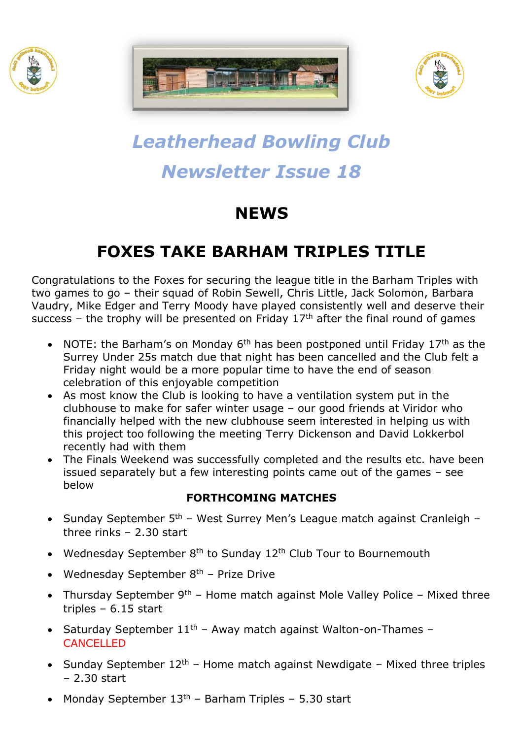





# *Leatherhead Bowling Club Newsletter Issue 18*

# **NEWS**

## **FOXES TAKE BARHAM TRIPLES TITLE**

Congratulations to the Foxes for securing the league title in the Barham Triples with two games to go – their squad of Robin Sewell, Chris Little, Jack Solomon, Barbara Vaudry, Mike Edger and Terry Moody have played consistently well and deserve their success – the trophy will be presented on Friday  $17<sup>th</sup>$  after the final round of games

- NOTE: the Barham's on Monday  $6<sup>th</sup>$  has been postponed until Friday 17<sup>th</sup> as the Surrey Under 25s match due that night has been cancelled and the Club felt a Friday night would be a more popular time to have the end of season celebration of this enjoyable competition
- As most know the Club is looking to have a ventilation system put in the clubhouse to make for safer winter usage – our good friends at Viridor who financially helped with the new clubhouse seem interested in helping us with this project too following the meeting Terry Dickenson and David Lokkerbol recently had with them
- The Finals Weekend was successfully completed and the results etc. have been issued separately but a few interesting points came out of the games – see below

#### **FORTHCOMING MATCHES**

- Sunday September  $5<sup>th</sup>$  West Surrey Men's League match against Cranleigh three rinks – 2.30 start
- Wednesday September  $8<sup>th</sup>$  to Sunday 12<sup>th</sup> Club Tour to Bournemouth
- Wednesday September 8<sup>th</sup> Prize Drive
- Thursday September  $9<sup>th</sup>$  Home match against Mole Valley Police Mixed three triples – 6.15 start
- Saturday September  $11<sup>th</sup>$  Away match against Walton-on-Thames CANCELLED
- Sunday September  $12<sup>th</sup>$  Home match against Newdigate Mixed three triples – 2.30 start
- Monday September  $13<sup>th</sup>$  Barham Triples 5.30 start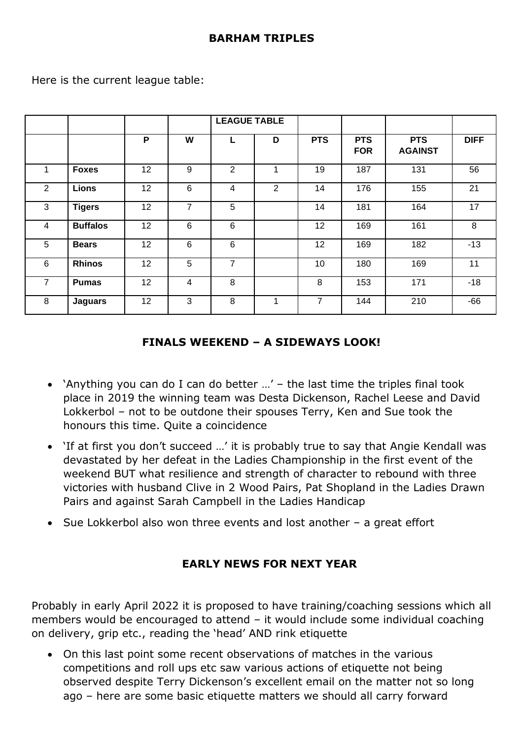|                |                 |                 |                | <b>LEAGUE TABLE</b> |                |                |                          |                              |             |
|----------------|-----------------|-----------------|----------------|---------------------|----------------|----------------|--------------------------|------------------------------|-------------|
|                |                 | P               | W              | L                   | D              | <b>PTS</b>     | <b>PTS</b><br><b>FOR</b> | <b>PTS</b><br><b>AGAINST</b> | <b>DIFF</b> |
| 1              | <b>Foxes</b>    | 12              | 9              | 2                   | 1              | 19             | 187                      | 131                          | 56          |
| 2              | <b>Lions</b>    | 12              | 6              | 4                   | $\overline{2}$ | 14             | 176                      | 155                          | 21          |
| 3              | <b>Tigers</b>   | 12              | $\overline{7}$ | 5                   |                | 14             | 181                      | 164                          | 17          |
| 4              | <b>Buffalos</b> | 12              | 6              | 6                   |                | 12             | 169                      | 161                          | 8           |
| 5              | <b>Bears</b>    | 12              | 6              | 6                   |                | 12             | 169                      | 182                          | $-13$       |
| $6\phantom{1}$ | <b>Rhinos</b>   | 12              | 5              | 7                   |                | 10             | 180                      | 169                          | 11          |
| $\overline{7}$ | <b>Pumas</b>    | 12 <sup>2</sup> | $\overline{4}$ | 8                   |                | 8              | 153                      | 171                          | $-18$       |
| 8              | <b>Jaguars</b>  | 12              | 3              | 8                   | 4              | $\overline{7}$ | 144                      | 210                          | $-66$       |

Here is the current league table:

### **FINALS WEEKEND – A SIDEWAYS LOOK!**

- 'Anything you can do I can do better …' the last time the triples final took place in 2019 the winning team was Desta Dickenson, Rachel Leese and David Lokkerbol – not to be outdone their spouses Terry, Ken and Sue took the honours this time. Quite a coincidence
- 'If at first you don't succeed …' it is probably true to say that Angie Kendall was devastated by her defeat in the Ladies Championship in the first event of the weekend BUT what resilience and strength of character to rebound with three victories with husband Clive in 2 Wood Pairs, Pat Shopland in the Ladies Drawn Pairs and against Sarah Campbell in the Ladies Handicap
- Sue Lokkerbol also won three events and lost another  $-$  a great effort

### **EARLY NEWS FOR NEXT YEAR**

Probably in early April 2022 it is proposed to have training/coaching sessions which all members would be encouraged to attend – it would include some individual coaching on delivery, grip etc., reading the 'head' AND rink etiquette

• On this last point some recent observations of matches in the various competitions and roll ups etc saw various actions of etiquette not being observed despite Terry Dickenson's excellent email on the matter not so long ago – here are some basic etiquette matters we should all carry forward